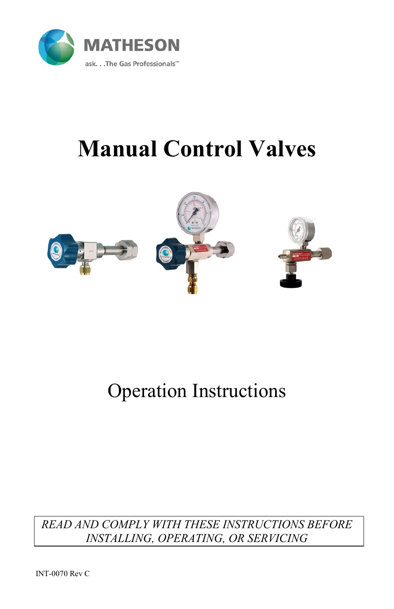

# **Manual Control Valves**



## Operation Instructions

### *READ AND COMPLY WITH THESE INSTRUCTIONS BEFORE INSTALLING, OPERATING, OR SERVICING*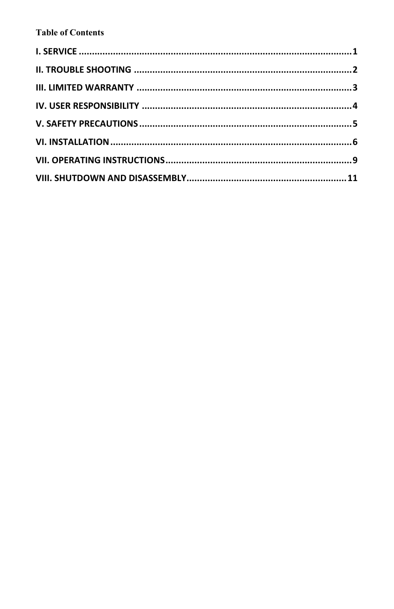#### **Table of Contents**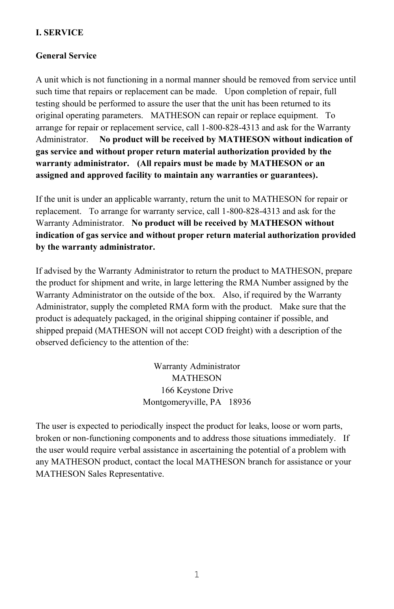#### <span id="page-4-0"></span>**I. SERVICE**

#### **General Service**

A unit which is not functioning in a normal manner should be removed from service until such time that repairs or replacement can be made. Upon completion of repair, full testing should be performed to assure the user that the unit has been returned to its original operating parameters. MATHESON can repair or replace equipment. To arrange for repair or replacement service, call 1-800-828-4313 and ask for the Warranty Administrator. **No product will be received by MATHESON without indication of gas service and without proper return material authorization provided by the warranty administrator. (All repairs must be made by MATHESON or an assigned and approved facility to maintain any warranties or guarantees).**

If the unit is under an applicable warranty, return the unit to MATHESON for repair or replacement. To arrange for warranty service, call 1-800-828-4313 and ask for the Warranty Administrator. **No product will be received by MATHESON without indication of gas service and without proper return material authorization provided by the warranty administrator.** 

If advised by the Warranty Administrator to return the product to MATHESON, prepare the product for shipment and write, in large lettering the RMA Number assigned by the Warranty Administrator on the outside of the box. Also, if required by the Warranty Administrator, supply the completed RMA form with the product. Make sure that the product is adequately packaged, in the original shipping container if possible, and shipped prepaid (MATHESON will not accept COD freight) with a description of the observed deficiency to the attention of the:

> Warranty Administrator MATHESON 166 Keystone Drive Montgomeryville, PA 18936

The user is expected to periodically inspect the product for leaks, loose or worn parts, broken or non-functioning components and to address those situations immediately. If the user would require verbal assistance in ascertaining the potential of a problem with any MATHESON product, contact the local MATHESON branch for assistance or your MATHESON Sales Representative.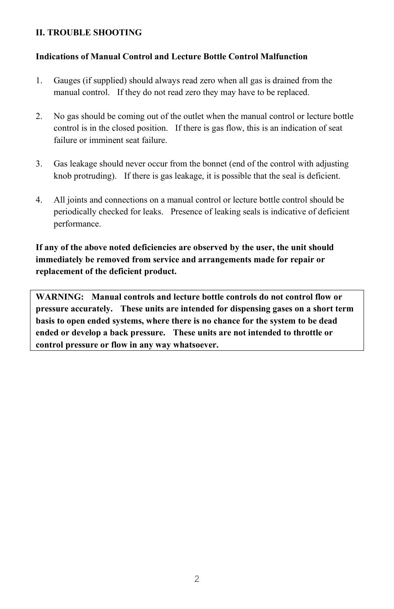#### <span id="page-5-0"></span>**II. TROUBLE SHOOTING**

#### **Indications of Manual Control and Lecture Bottle Control Malfunction**

- 1. Gauges (if supplied) should always read zero when all gas is drained from the manual control. If they do not read zero they may have to be replaced.
- 2. No gas should be coming out of the outlet when the manual control or lecture bottle control is in the closed position. If there is gas flow, this is an indication of seat failure or imminent seat failure.
- 3. Gas leakage should never occur from the bonnet (end of the control with adjusting knob protruding). If there is gas leakage, it is possible that the seal is deficient.
- 4. All joints and connections on a manual control or lecture bottle control should be periodically checked for leaks. Presence of leaking seals is indicative of deficient performance.

**If any of the above noted deficiencies are observed by the user, the unit should immediately be removed from service and arrangements made for repair or replacement of the deficient product.**

**WARNING: Manual controls and lecture bottle controls do not control flow or pressure accurately. These units are intended for dispensing gases on a short term basis to open ended systems, where there is no chance for the system to be dead ended or develop a back pressure. These units are not intended to throttle or control pressure or flow in any way whatsoever.**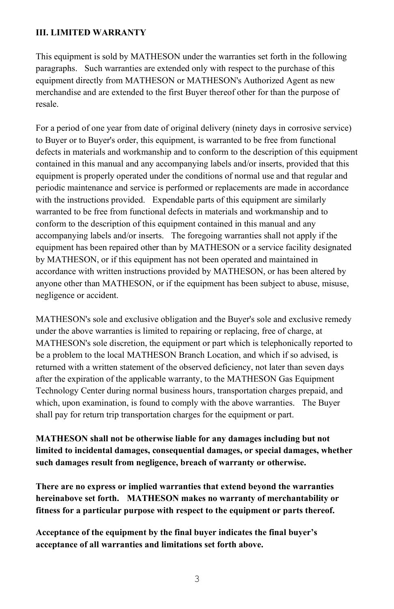#### <span id="page-6-0"></span>**III. LIMITED WARRANTY**

This equipment is sold by MATHESON under the warranties set forth in the following paragraphs. Such warranties are extended only with respect to the purchase of this equipment directly from MATHESON or MATHESON's Authorized Agent as new merchandise and are extended to the first Buyer thereof other for than the purpose of resale.

For a period of one year from date of original delivery (ninety days in corrosive service) to Buyer or to Buyer's order, this equipment, is warranted to be free from functional defects in materials and workmanship and to conform to the description of this equipment contained in this manual and any accompanying labels and/or inserts, provided that this equipment is properly operated under the conditions of normal use and that regular and periodic maintenance and service is performed or replacements are made in accordance with the instructions provided. Expendable parts of this equipment are similarly warranted to be free from functional defects in materials and workmanship and to conform to the description of this equipment contained in this manual and any accompanying labels and/or inserts. The foregoing warranties shall not apply if the equipment has been repaired other than by MATHESON or a service facility designated by MATHESON, or if this equipment has not been operated and maintained in accordance with written instructions provided by MATHESON, or has been altered by anyone other than MATHESON, or if the equipment has been subject to abuse, misuse, negligence or accident.

MATHESON's sole and exclusive obligation and the Buyer's sole and exclusive remedy under the above warranties is limited to repairing or replacing, free of charge, at MATHESON's sole discretion, the equipment or part which is telephonically reported to be a problem to the local MATHESON Branch Location, and which if so advised, is returned with a written statement of the observed deficiency, not later than seven days after the expiration of the applicable warranty, to the MATHESON Gas Equipment Technology Center during normal business hours, transportation charges prepaid, and which, upon examination, is found to comply with the above warranties. The Buyer shall pay for return trip transportation charges for the equipment or part.

**MATHESON shall not be otherwise liable for any damages including but not limited to incidental damages, consequential damages, or special damages, whether such damages result from negligence, breach of warranty or otherwise.**

**There are no express or implied warranties that extend beyond the warranties hereinabove set forth. MATHESON makes no warranty of merchantability or fitness for a particular purpose with respect to the equipment or parts thereof.**

**Acceptance of the equipment by the final buyer indicates the final buyer's acceptance of all warranties and limitations set forth above.**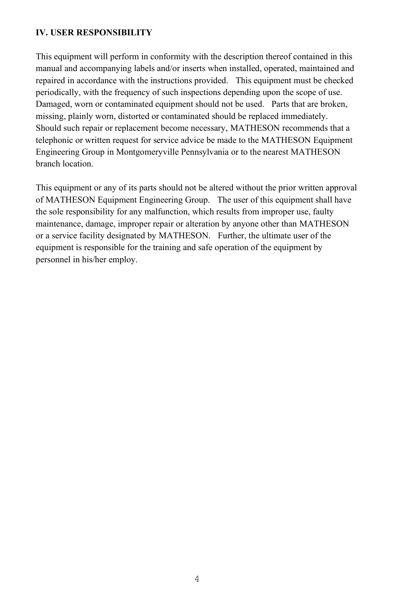#### <span id="page-7-0"></span>**IV. USER RESPONSIBILITY**

This equipment will perform in conformity with the description thereof contained in this manual and accompanying labels and/or inserts when installed, operated, maintained and repaired in accordance with the instructions provided. This equipment must be checked periodically, with the frequency of such inspections depending upon the scope of use. Damaged, worn or contaminated equipment should not be used. Parts that are broken, missing, plainly worn, distorted or contaminated should be replaced immediately. Should such repair or replacement become necessary, MATHESON recommends that a telephonic or written request for service advice be made to the MATHESON Equipment Engineering Group in Montgomeryville Pennsylvania or to the nearest MATHESON branch location.

This equipment or any of its parts should not be altered without the prior written approval of MATHESON Equipment Engineering Group. The user of this equipment shall have the sole responsibility for any malfunction, which results from improper use, faulty maintenance, damage, improper repair or alteration by anyone other than MATHESON or a service facility designated by MATHESON. Further, the ultimate user of the equipment is responsible for the training and safe operation of the equipment by personnel in his/her employ.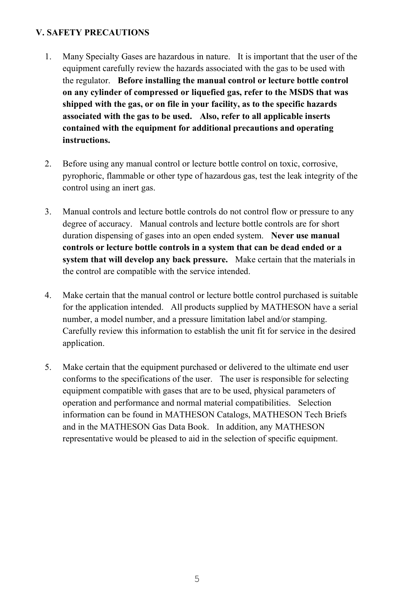#### <span id="page-8-0"></span>**V. SAFETY PRECAUTIONS**

- 1. Many Specialty Gases are hazardous in nature. It is important that the user of the equipment carefully review the hazards associated with the gas to be used with the regulator. **Before installing the manual control or lecture bottle control on any cylinder of compressed or liquefied gas, refer to the MSDS that was shipped with the gas, or on file in your facility, as to the specific hazards associated with the gas to be used. Also, refer to all applicable inserts contained with the equipment for additional precautions and operating instructions.**
- 2. Before using any manual control or lecture bottle control on toxic, corrosive, pyrophoric, flammable or other type of hazardous gas, test the leak integrity of the control using an inert gas.
- 3. Manual controls and lecture bottle controls do not control flow or pressure to any degree of accuracy. Manual controls and lecture bottle controls are for short duration dispensing of gases into an open ended system. **Never use manual controls or lecture bottle controls in a system that can be dead ended or a system that will develop any back pressure.** Make certain that the materials in the control are compatible with the service intended.
- 4. Make certain that the manual control or lecture bottle control purchased is suitable for the application intended. All products supplied by MATHESON have a serial number, a model number, and a pressure limitation label and/or stamping. Carefully review this information to establish the unit fit for service in the desired application.
- 5. Make certain that the equipment purchased or delivered to the ultimate end user conforms to the specifications of the user. The user is responsible for selecting equipment compatible with gases that are to be used, physical parameters of operation and performance and normal material compatibilities. Selection information can be found in MATHESON Catalogs, MATHESON Tech Briefs and in the MATHESON Gas Data Book. In addition, any MATHESON representative would be pleased to aid in the selection of specific equipment.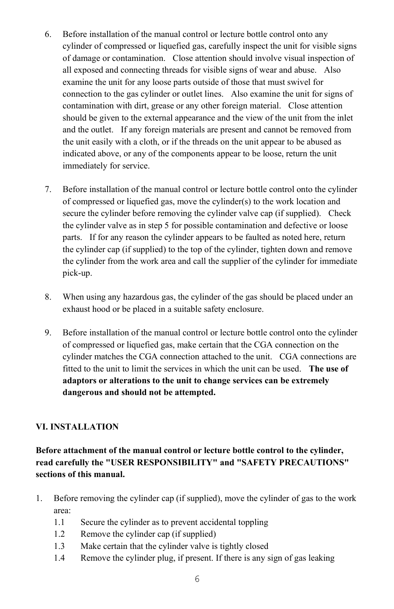- 6. Before installation of the manual control or lecture bottle control onto any cylinder of compressed or liquefied gas, carefully inspect the unit for visible signs of damage or contamination. Close attention should involve visual inspection of all exposed and connecting threads for visible signs of wear and abuse. Also examine the unit for any loose parts outside of those that must swivel for connection to the gas cylinder or outlet lines. Also examine the unit for signs of contamination with dirt, grease or any other foreign material. Close attention should be given to the external appearance and the view of the unit from the inlet and the outlet. If any foreign materials are present and cannot be removed from the unit easily with a cloth, or if the threads on the unit appear to be abused as indicated above, or any of the components appear to be loose, return the unit immediately for service.
- 7. Before installation of the manual control or lecture bottle control onto the cylinder of compressed or liquefied gas, move the cylinder(s) to the work location and secure the cylinder before removing the cylinder valve cap (if supplied). Check the cylinder valve as in step 5 for possible contamination and defective or loose parts. If for any reason the cylinder appears to be faulted as noted here, return the cylinder cap (if supplied) to the top of the cylinder, tighten down and remove the cylinder from the work area and call the supplier of the cylinder for immediate pick-up.
- 8. When using any hazardous gas, the cylinder of the gas should be placed under an exhaust hood or be placed in a suitable safety enclosure.
- 9. Before installation of the manual control or lecture bottle control onto the cylinder of compressed or liquefied gas, make certain that the CGA connection on the cylinder matches the CGA connection attached to the unit. CGA connections are fitted to the unit to limit the services in which the unit can be used. **The use of adaptors or alterations to the unit to change services can be extremely dangerous and should not be attempted.**

#### <span id="page-9-0"></span>**VI. INSTALLATION**

**Before attachment of the manual control or lecture bottle control to the cylinder, read carefully the "USER RESPONSIBILITY" and "SAFETY PRECAUTIONS" sections of this manual.**

- 1. Before removing the cylinder cap (if supplied), move the cylinder of gas to the work area:
	- 1.1 Secure the cylinder as to prevent accidental toppling
	- 1.2 Remove the cylinder cap (if supplied)
	- 1.3 Make certain that the cylinder valve is tightly closed
	- 1.4 Remove the cylinder plug, if present. If there is any sign of gas leaking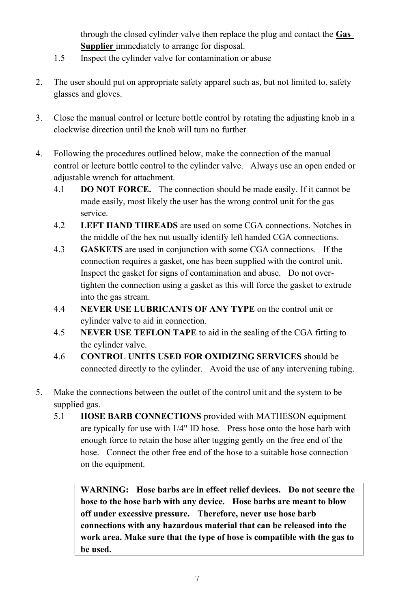through the closed cylinder valve then replace the plug and contact the **Gas Supplier** immediately to arrange for disposal.

- 1.5 Inspect the cylinder valve for contamination or abuse
- 2. The user should put on appropriate safety apparel such as, but not limited to, safety glasses and gloves.
- 3. Close the manual control or lecture bottle control by rotating the adjusting knob in a clockwise direction until the knob will turn no further
- 4. Following the procedures outlined below, make the connection of the manual control or lecture bottle control to the cylinder valve. Always use an open ended or adjustable wrench for attachment.
	- 4.1 **DO NOT FORCE.** The connection should be made easily. If it cannot be made easily, most likely the user has the wrong control unit for the gas service.
	- 4.2 **LEFT HAND THREADS** are used on some CGA connections. Notches in the middle of the hex nut usually identify left handed CGA connections.
	- 4.3 **GASKETS** are used in conjunction with some CGA connections. If the connection requires a gasket, one has been supplied with the control unit. Inspect the gasket for signs of contamination and abuse. Do not overtighten the connection using a gasket as this will force the gasket to extrude into the gas stream.
	- 4.4 **NEVER USE LUBRICANTS OF ANY TYPE** on the control unit or cylinder valve to aid in connection.
	- 4.5 **NEVER USE TEFLON TAPE** to aid in the sealing of the CGA fitting to the cylinder valve.
	- 4.6 **CONTROL UNITS USED FOR OXIDIZING SERVICES** should be connected directly to the cylinder. Avoid the use of any intervening tubing.
- 5. Make the connections between the outlet of the control unit and the system to be supplied gas.
	- 5.1 **HOSE BARB CONNECTIONS** provided with MATHESON equipment are typically for use with 1/4" ID hose. Press hose onto the hose barb with enough force to retain the hose after tugging gently on the free end of the hose. Connect the other free end of the hose to a suitable hose connection on the equipment.

**WARNING: Hose barbs are in effect relief devices. Do not secure the hose to the hose barb with any device. Hose barbs are meant to blow off under excessive pressure. Therefore, never use hose barb connections with any hazardous material that can be released into the work area. Make sure that the type of hose is compatible with the gas to be used.**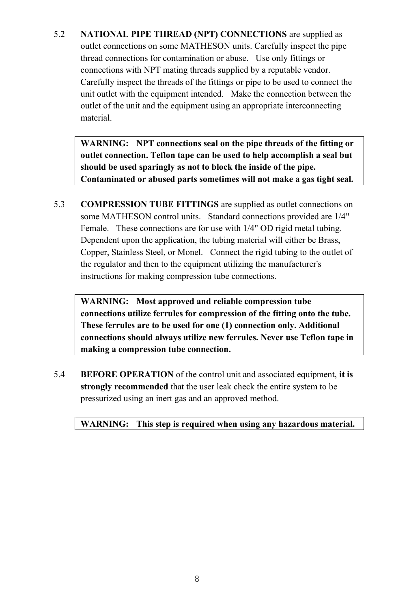5.2 **NATIONAL PIPE THREAD (NPT) CONNECTIONS** are supplied as outlet connections on some MATHESON units. Carefully inspect the pipe thread connections for contamination or abuse. Use only fittings or connections with NPT mating threads supplied by a reputable vendor. Carefully inspect the threads of the fittings or pipe to be used to connect the unit outlet with the equipment intended. Make the connection between the outlet of the unit and the equipment using an appropriate interconnecting material.

**WARNING: NPT connections seal on the pipe threads of the fitting or outlet connection. Teflon tape can be used to help accomplish a seal but should be used sparingly as not to block the inside of the pipe. Contaminated or abused parts sometimes will not make a gas tight seal.**

5.3 **COMPRESSION TUBE FITTINGS** are supplied as outlet connections on some MATHESON control units. Standard connections provided are 1/4" Female. These connections are for use with 1/4" OD rigid metal tubing. Dependent upon the application, the tubing material will either be Brass, Copper, Stainless Steel, or Monel. Connect the rigid tubing to the outlet of the regulator and then to the equipment utilizing the manufacturer's instructions for making compression tube connections.

**WARNING: Most approved and reliable compression tube connections utilize ferrules for compression of the fitting onto the tube. These ferrules are to be used for one (1) connection only. Additional connections should always utilize new ferrules. Never use Teflon tape in making a compression tube connection.**

5.4 **BEFORE OPERATION** of the control unit and associated equipment, **it is strongly recommended** that the user leak check the entire system to be pressurized using an inert gas and an approved method.

**WARNING: This step is required when using any hazardous material.**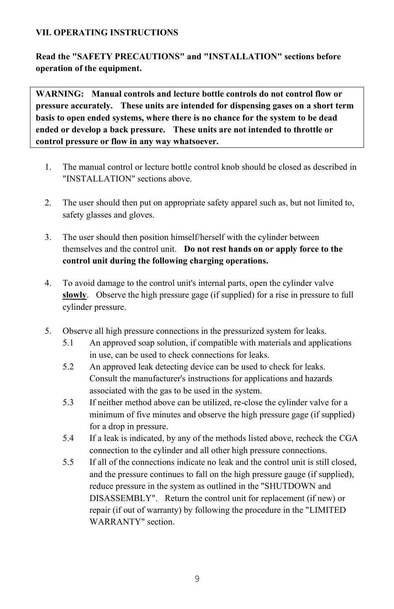#### <span id="page-12-0"></span>**VII. OPERATING INSTRUCTIONS**

**Read the "SAFETY PRECAUTIONS" and "INSTALLATION" sections before operation of the equipment.**

**WARNING: Manual controls and lecture bottle controls do not control flow or pressure accurately. These units are intended for dispensing gases on a short term basis to open ended systems, where there is no chance for the system to be dead ended or develop a back pressure. These units are not intended to throttle or control pressure or flow in any way whatsoever.**

- 1. The manual control or lecture bottle control knob should be closed as described in "INSTALLATION" sections above.
- 2. The user should then put on appropriate safety apparel such as, but not limited to, safety glasses and gloves.
- 3. The user should then position himself/herself with the cylinder between themselves and the control unit. **Do not rest hands on or apply force to the control unit during the following charging operations.**
- 4. To avoid damage to the control unit's internal parts, open the cylinder valve **slowly**. Observe the high pressure gage (if supplied) for a rise in pressure to full cylinder pressure.
- 5. Observe all high pressure connections in the pressurized system for leaks.
	- 5.1 An approved soap solution, if compatible with materials and applications in use, can be used to check connections for leaks.
	- 5.2 An approved leak detecting device can be used to check for leaks. Consult the manufacturer's instructions for applications and hazards associated with the gas to be used in the system.
	- 5.3 If neither method above can be utilized, re-close the cylinder valve for a minimum of five minutes and observe the high pressure gage (if supplied) for a drop in pressure.
	- 5.4 If a leak is indicated, by any of the methods listed above, recheck the CGA connection to the cylinder and all other high pressure connections.
	- 5.5 If all of the connections indicate no leak and the control unit is still closed, and the pressure continues to fall on the high pressure gauge (if supplied), reduce pressure in the system as outlined in the "SHUTDOWN and DISASSEMBLY". Return the control unit for replacement (if new) or repair (if out of warranty) by following the procedure in the "LIMITED WARRANTY" section.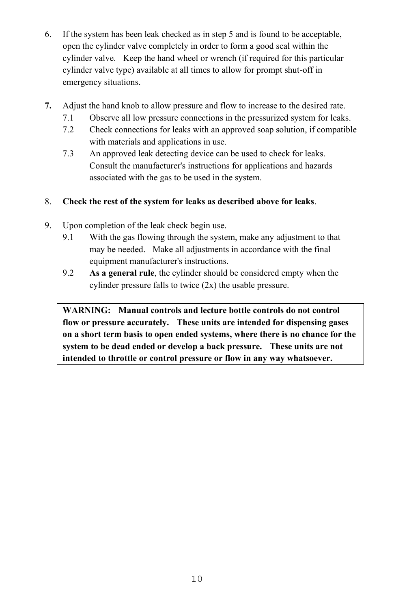- 6. If the system has been leak checked as in step 5 and is found to be acceptable, open the cylinder valve completely in order to form a good seal within the cylinder valve. Keep the hand wheel or wrench (if required for this particular cylinder valve type) available at all times to allow for prompt shut-off in emergency situations.
- **7.** Adjust the hand knob to allow pressure and flow to increase to the desired rate.
	- 7.1 Observe all low pressure connections in the pressurized system for leaks.
	- 7.2 Check connections for leaks with an approved soap solution, if compatible with materials and applications in use.
	- 7.3 An approved leak detecting device can be used to check for leaks. Consult the manufacturer's instructions for applications and hazards associated with the gas to be used in the system.

#### 8. **Check the rest of the system for leaks as described above for leaks**.

- 9. Upon completion of the leak check begin use.
	- 9.1 With the gas flowing through the system, make any adjustment to that may be needed. Make all adjustments in accordance with the final equipment manufacturer's instructions.
	- 9.2 **As a general rule**, the cylinder should be considered empty when the cylinder pressure falls to twice (2x) the usable pressure.

**WARNING: Manual controls and lecture bottle controls do not control flow or pressure accurately. These units are intended for dispensing gases on a short term basis to open ended systems, where there is no chance for the system to be dead ended or develop a back pressure. These units are not intended to throttle or control pressure or flow in any way whatsoever.**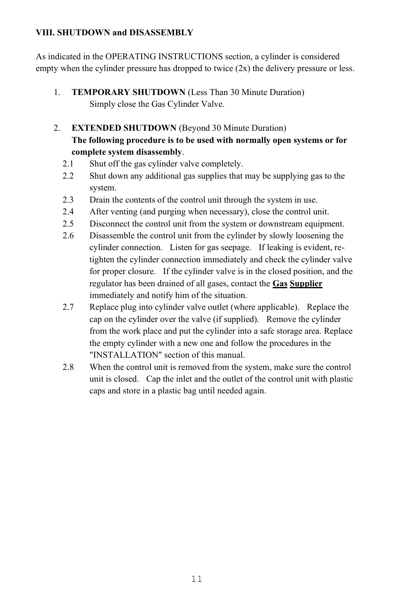#### <span id="page-14-0"></span>**VIII. SHUTDOWN and DISASSEMBLY**

As indicated in the OPERATING INSTRUCTIONS section, a cylinder is considered empty when the cylinder pressure has dropped to twice  $(2x)$  the delivery pressure or less.

- 1. **TEMPORARY SHUTDOWN** (Less Than 30 Minute Duration) Simply close the Gas Cylinder Valve.
- 2. **EXTENDED SHUTDOWN** (Beyond 30 Minute Duration) **The following procedure is to be used with normally open systems or for complete system disassembly**.
	- 2.1 Shut off the gas cylinder valve completely.
	- 2.2 Shut down any additional gas supplies that may be supplying gas to the system.
	- 2.3 Drain the contents of the control unit through the system in use.
	- 2.4 After venting (and purging when necessary), close the control unit.
	- 2.5 Disconnect the control unit from the system or downstream equipment.
	- 2.6 Disassemble the control unit from the cylinder by slowly loosening the cylinder connection. Listen for gas seepage. If leaking is evident, retighten the cylinder connection immediately and check the cylinder valve for proper closure. If the cylinder valve is in the closed position, and the regulator has been drained of all gases, contact the **Gas Supplier** immediately and notify him of the situation.
	- 2.7 Replace plug into cylinder valve outlet (where applicable). Replace the cap on the cylinder over the valve (if supplied). Remove the cylinder from the work place and put the cylinder into a safe storage area. Replace the empty cylinder with a new one and follow the procedures in the "INSTALLATION" section of this manual.
	- 2.8 When the control unit is removed from the system, make sure the control unit is closed. Cap the inlet and the outlet of the control unit with plastic caps and store in a plastic bag until needed again.